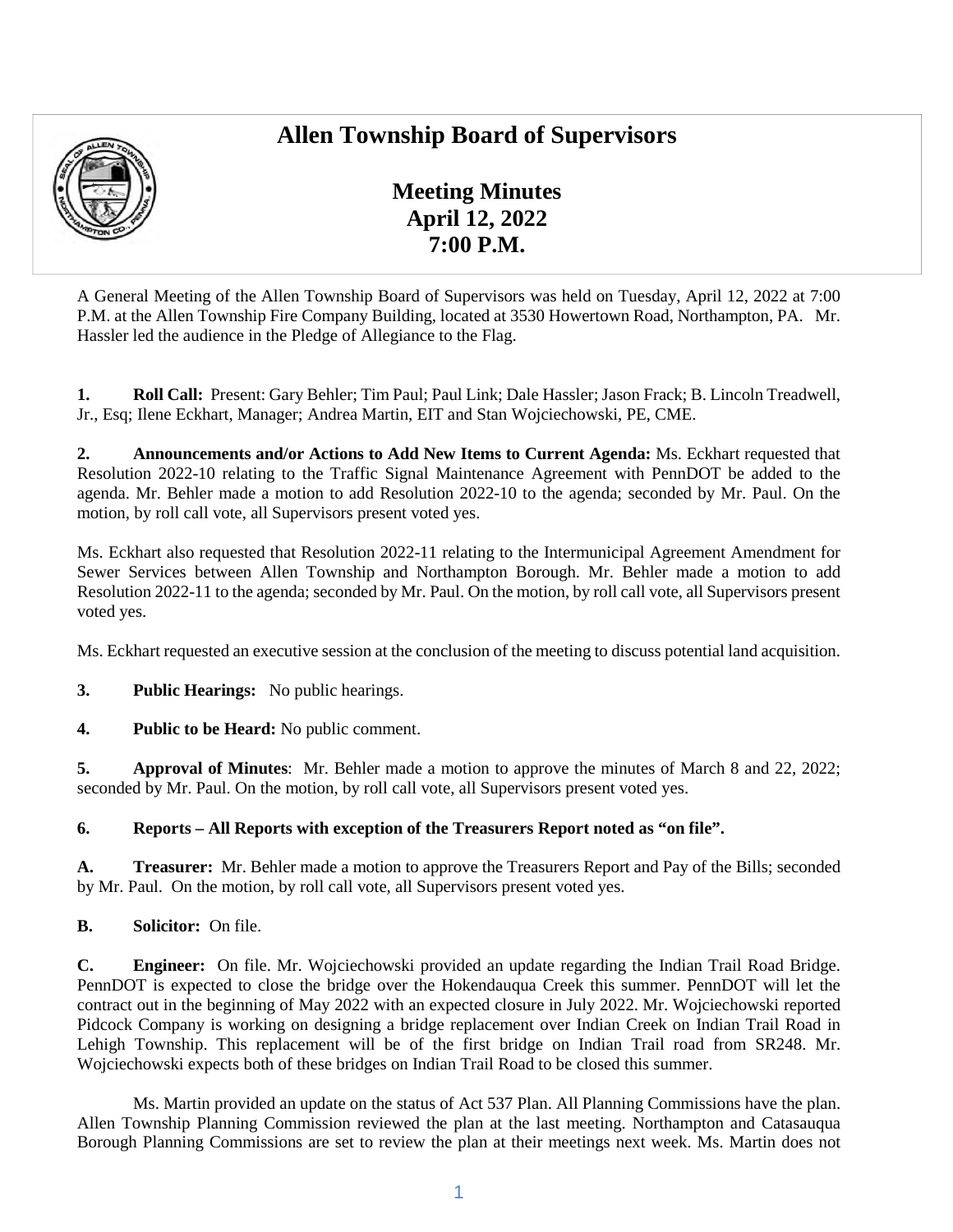# **Allen Township Board of Supervisors**



**Meeting Minutes April 12, 2022 7:00 P.M.** 

A General Meeting of the Allen Township Board of Supervisors was held on Tuesday, April 12, 2022 at 7:00 P.M. at the Allen Township Fire Company Building, located at 3530 Howertown Road, Northampton, PA. Mr. Hassler led the audience in the Pledge of Allegiance to the Flag.

**1. Roll Call:** Present: Gary Behler; Tim Paul; Paul Link; Dale Hassler; Jason Frack; B. Lincoln Treadwell, Jr., Esq; Ilene Eckhart, Manager; Andrea Martin, EIT and Stan Wojciechowski, PE, CME.

**2. Announcements and/or Actions to Add New Items to Current Agenda:** Ms. Eckhart requested that Resolution 2022-10 relating to the Traffic Signal Maintenance Agreement with PennDOT be added to the agenda. Mr. Behler made a motion to add Resolution 2022-10 to the agenda; seconded by Mr. Paul. On the motion, by roll call vote, all Supervisors present voted yes.

Ms. Eckhart also requested that Resolution 2022-11 relating to the Intermunicipal Agreement Amendment for Sewer Services between Allen Township and Northampton Borough. Mr. Behler made a motion to add Resolution 2022-11 to the agenda; seconded by Mr. Paul. On the motion, by roll call vote, all Supervisors present voted yes.

Ms. Eckhart requested an executive session at the conclusion of the meeting to discuss potential land acquisition.

**3. Public Hearings:** No public hearings.

**4. Public to be Heard:** No public comment.

**5. Approval of Minutes**: Mr. Behler made a motion to approve the minutes of March 8 and 22, 2022; seconded by Mr. Paul. On the motion, by roll call vote, all Supervisors present voted yes.

**6. Reports – All Reports with exception of the Treasurers Report noted as "on file".** 

**A. Treasurer:** Mr. Behler made a motion to approve the Treasurers Report and Pay of the Bills; seconded by Mr. Paul. On the motion, by roll call vote, all Supervisors present voted yes.

**B. Solicitor:** On file.

**C. Engineer:** On file. Mr. Wojciechowski provided an update regarding the Indian Trail Road Bridge. PennDOT is expected to close the bridge over the Hokendauqua Creek this summer. PennDOT will let the contract out in the beginning of May 2022 with an expected closure in July 2022. Mr. Wojciechowski reported Pidcock Company is working on designing a bridge replacement over Indian Creek on Indian Trail Road in Lehigh Township. This replacement will be of the first bridge on Indian Trail road from SR248. Mr. Wojciechowski expects both of these bridges on Indian Trail Road to be closed this summer.

Ms. Martin provided an update on the status of Act 537 Plan. All Planning Commissions have the plan. Allen Township Planning Commission reviewed the plan at the last meeting. Northampton and Catasauqua Borough Planning Commissions are set to review the plan at their meetings next week. Ms. Martin does not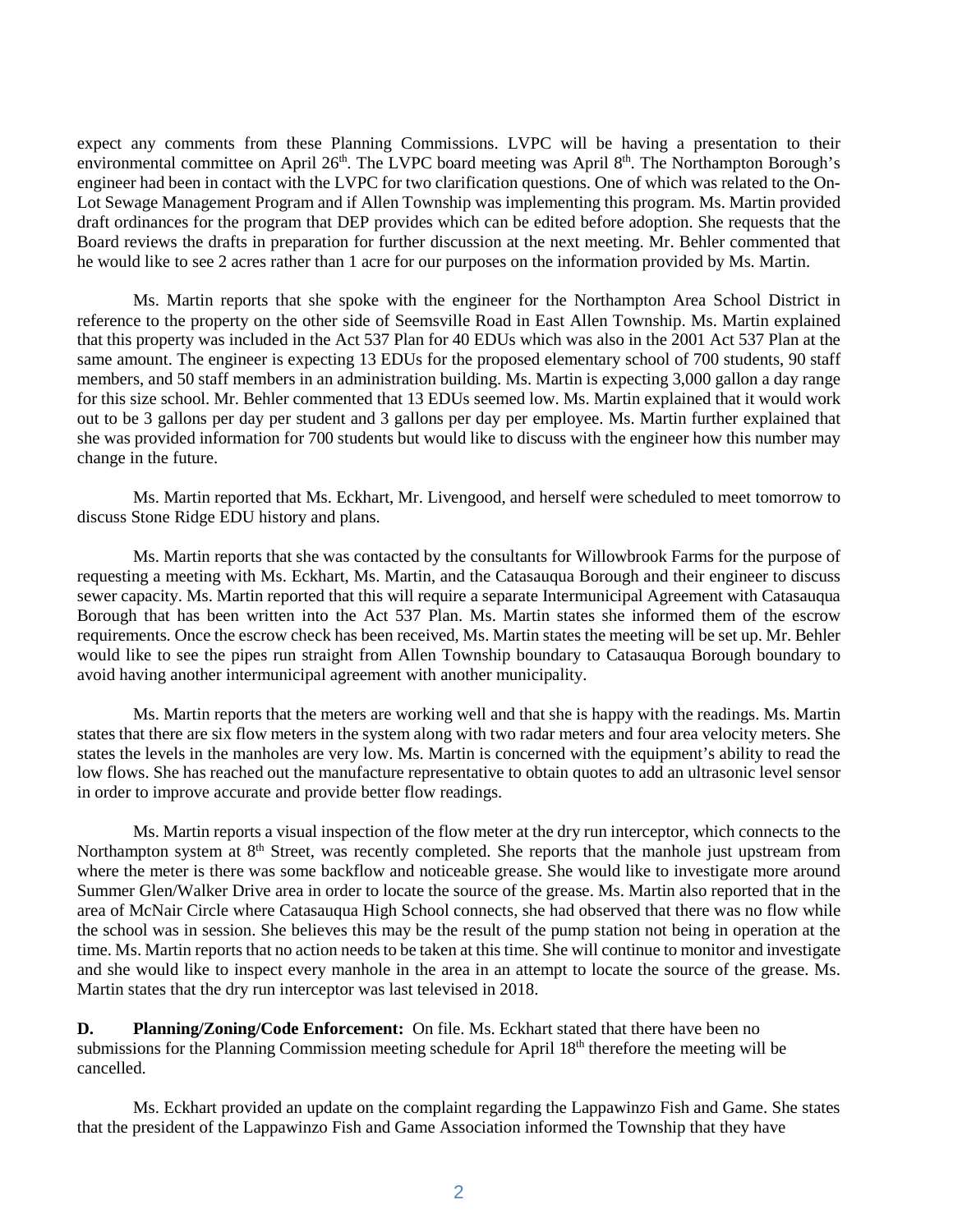expect any comments from these Planning Commissions. LVPC will be having a presentation to their environmental committee on April 26<sup>th</sup>. The LVPC board meeting was April 8<sup>th</sup>. The Northampton Borough's engineer had been in contact with the LVPC for two clarification questions. One of which was related to the On-Lot Sewage Management Program and if Allen Township was implementing this program. Ms. Martin provided draft ordinances for the program that DEP provides which can be edited before adoption. She requests that the Board reviews the drafts in preparation for further discussion at the next meeting. Mr. Behler commented that he would like to see 2 acres rather than 1 acre for our purposes on the information provided by Ms. Martin.

Ms. Martin reports that she spoke with the engineer for the Northampton Area School District in reference to the property on the other side of Seemsville Road in East Allen Township. Ms. Martin explained that this property was included in the Act 537 Plan for 40 EDUs which was also in the 2001 Act 537 Plan at the same amount. The engineer is expecting 13 EDUs for the proposed elementary school of 700 students, 90 staff members, and 50 staff members in an administration building. Ms. Martin is expecting 3,000 gallon a day range for this size school. Mr. Behler commented that 13 EDUs seemed low. Ms. Martin explained that it would work out to be 3 gallons per day per student and 3 gallons per day per employee. Ms. Martin further explained that she was provided information for 700 students but would like to discuss with the engineer how this number may change in the future.

Ms. Martin reported that Ms. Eckhart, Mr. Livengood, and herself were scheduled to meet tomorrow to discuss Stone Ridge EDU history and plans.

Ms. Martin reports that she was contacted by the consultants for Willowbrook Farms for the purpose of requesting a meeting with Ms. Eckhart, Ms. Martin, and the Catasauqua Borough and their engineer to discuss sewer capacity. Ms. Martin reported that this will require a separate Intermunicipal Agreement with Catasauqua Borough that has been written into the Act 537 Plan. Ms. Martin states she informed them of the escrow requirements. Once the escrow check has been received, Ms. Martin states the meeting will be set up. Mr. Behler would like to see the pipes run straight from Allen Township boundary to Catasauqua Borough boundary to avoid having another intermunicipal agreement with another municipality.

Ms. Martin reports that the meters are working well and that she is happy with the readings. Ms. Martin states that there are six flow meters in the system along with two radar meters and four area velocity meters. She states the levels in the manholes are very low. Ms. Martin is concerned with the equipment's ability to read the low flows. She has reached out the manufacture representative to obtain quotes to add an ultrasonic level sensor in order to improve accurate and provide better flow readings.

Ms. Martin reports a visual inspection of the flow meter at the dry run interceptor, which connects to the Northampton system at 8<sup>th</sup> Street, was recently completed. She reports that the manhole just upstream from where the meter is there was some backflow and noticeable grease. She would like to investigate more around Summer Glen/Walker Drive area in order to locate the source of the grease. Ms. Martin also reported that in the area of McNair Circle where Catasauqua High School connects, she had observed that there was no flow while the school was in session. She believes this may be the result of the pump station not being in operation at the time. Ms. Martin reports that no action needs to be taken at this time. She will continue to monitor and investigate and she would like to inspect every manhole in the area in an attempt to locate the source of the grease. Ms. Martin states that the dry run interceptor was last televised in 2018.

**D.** Planning/Zoning/Code Enforcement: On file. Ms. Eckhart stated that there have been no submissions for the Planning Commission meeting schedule for April 18<sup>th</sup> therefore the meeting will be cancelled.

Ms. Eckhart provided an update on the complaint regarding the Lappawinzo Fish and Game. She states that the president of the Lappawinzo Fish and Game Association informed the Township that they have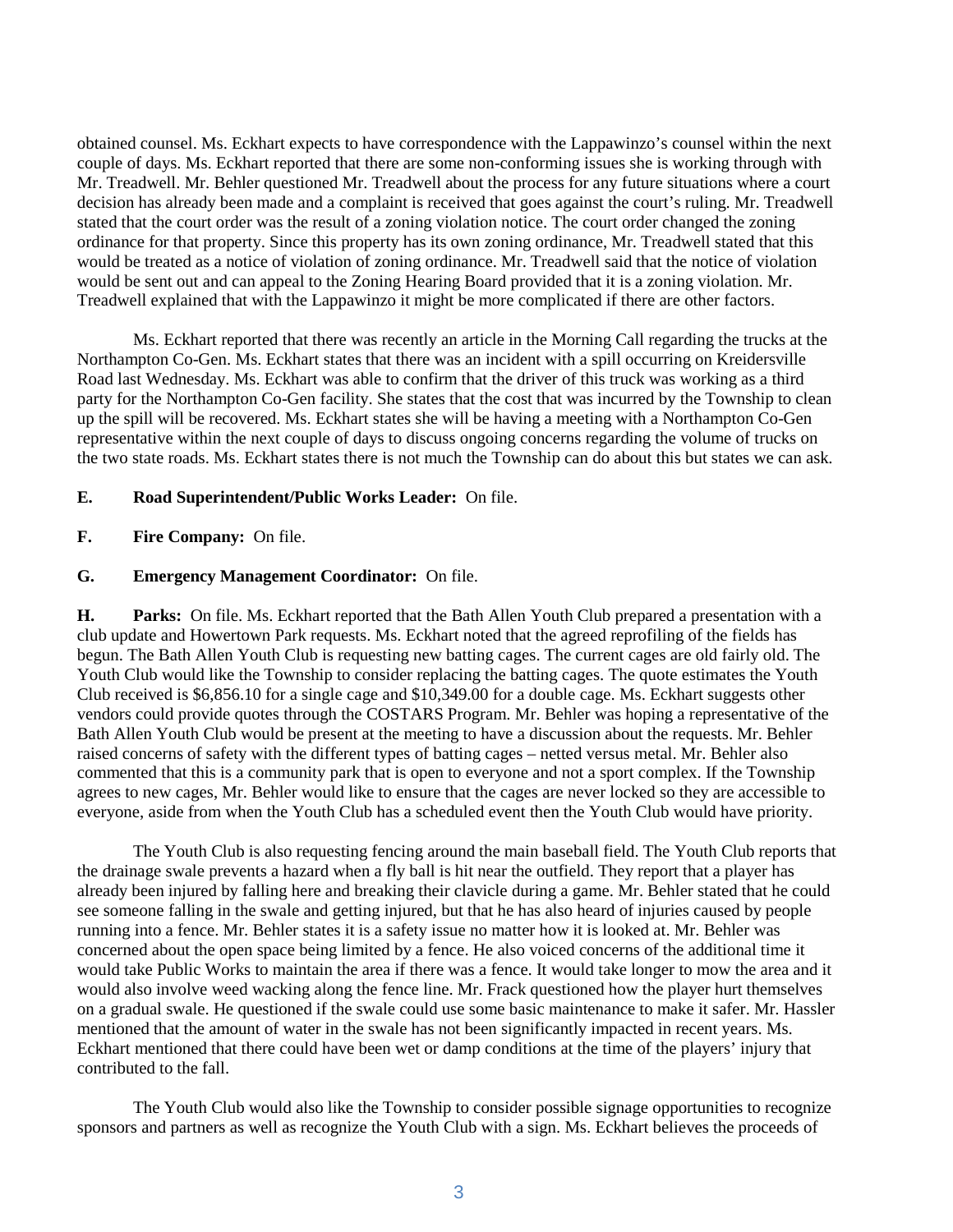obtained counsel. Ms. Eckhart expects to have correspondence with the Lappawinzo's counsel within the next couple of days. Ms. Eckhart reported that there are some non-conforming issues she is working through with Mr. Treadwell. Mr. Behler questioned Mr. Treadwell about the process for any future situations where a court decision has already been made and a complaint is received that goes against the court's ruling. Mr. Treadwell stated that the court order was the result of a zoning violation notice. The court order changed the zoning ordinance for that property. Since this property has its own zoning ordinance, Mr. Treadwell stated that this would be treated as a notice of violation of zoning ordinance. Mr. Treadwell said that the notice of violation would be sent out and can appeal to the Zoning Hearing Board provided that it is a zoning violation. Mr. Treadwell explained that with the Lappawinzo it might be more complicated if there are other factors.

Ms. Eckhart reported that there was recently an article in the Morning Call regarding the trucks at the Northampton Co-Gen. Ms. Eckhart states that there was an incident with a spill occurring on Kreidersville Road last Wednesday. Ms. Eckhart was able to confirm that the driver of this truck was working as a third party for the Northampton Co-Gen facility. She states that the cost that was incurred by the Township to clean up the spill will be recovered. Ms. Eckhart states she will be having a meeting with a Northampton Co-Gen representative within the next couple of days to discuss ongoing concerns regarding the volume of trucks on the two state roads. Ms. Eckhart states there is not much the Township can do about this but states we can ask.

### **E. Road Superintendent/Public Works Leader:** On file.

### **F. Fire Company:** On file.

## **G. Emergency Management Coordinator:** On file.

**H. Parks:** On file. Ms. Eckhart reported that the Bath Allen Youth Club prepared a presentation with a club update and Howertown Park requests. Ms. Eckhart noted that the agreed reprofiling of the fields has begun. The Bath Allen Youth Club is requesting new batting cages. The current cages are old fairly old. The Youth Club would like the Township to consider replacing the batting cages. The quote estimates the Youth Club received is \$6,856.10 for a single cage and \$10,349.00 for a double cage. Ms. Eckhart suggests other vendors could provide quotes through the COSTARS Program. Mr. Behler was hoping a representative of the Bath Allen Youth Club would be present at the meeting to have a discussion about the requests. Mr. Behler raised concerns of safety with the different types of batting cages – netted versus metal. Mr. Behler also commented that this is a community park that is open to everyone and not a sport complex. If the Township agrees to new cages, Mr. Behler would like to ensure that the cages are never locked so they are accessible to everyone, aside from when the Youth Club has a scheduled event then the Youth Club would have priority.

The Youth Club is also requesting fencing around the main baseball field. The Youth Club reports that the drainage swale prevents a hazard when a fly ball is hit near the outfield. They report that a player has already been injured by falling here and breaking their clavicle during a game. Mr. Behler stated that he could see someone falling in the swale and getting injured, but that he has also heard of injuries caused by people running into a fence. Mr. Behler states it is a safety issue no matter how it is looked at. Mr. Behler was concerned about the open space being limited by a fence. He also voiced concerns of the additional time it would take Public Works to maintain the area if there was a fence. It would take longer to mow the area and it would also involve weed wacking along the fence line. Mr. Frack questioned how the player hurt themselves on a gradual swale. He questioned if the swale could use some basic maintenance to make it safer. Mr. Hassler mentioned that the amount of water in the swale has not been significantly impacted in recent years. Ms. Eckhart mentioned that there could have been wet or damp conditions at the time of the players' injury that contributed to the fall.

The Youth Club would also like the Township to consider possible signage opportunities to recognize sponsors and partners as well as recognize the Youth Club with a sign. Ms. Eckhart believes the proceeds of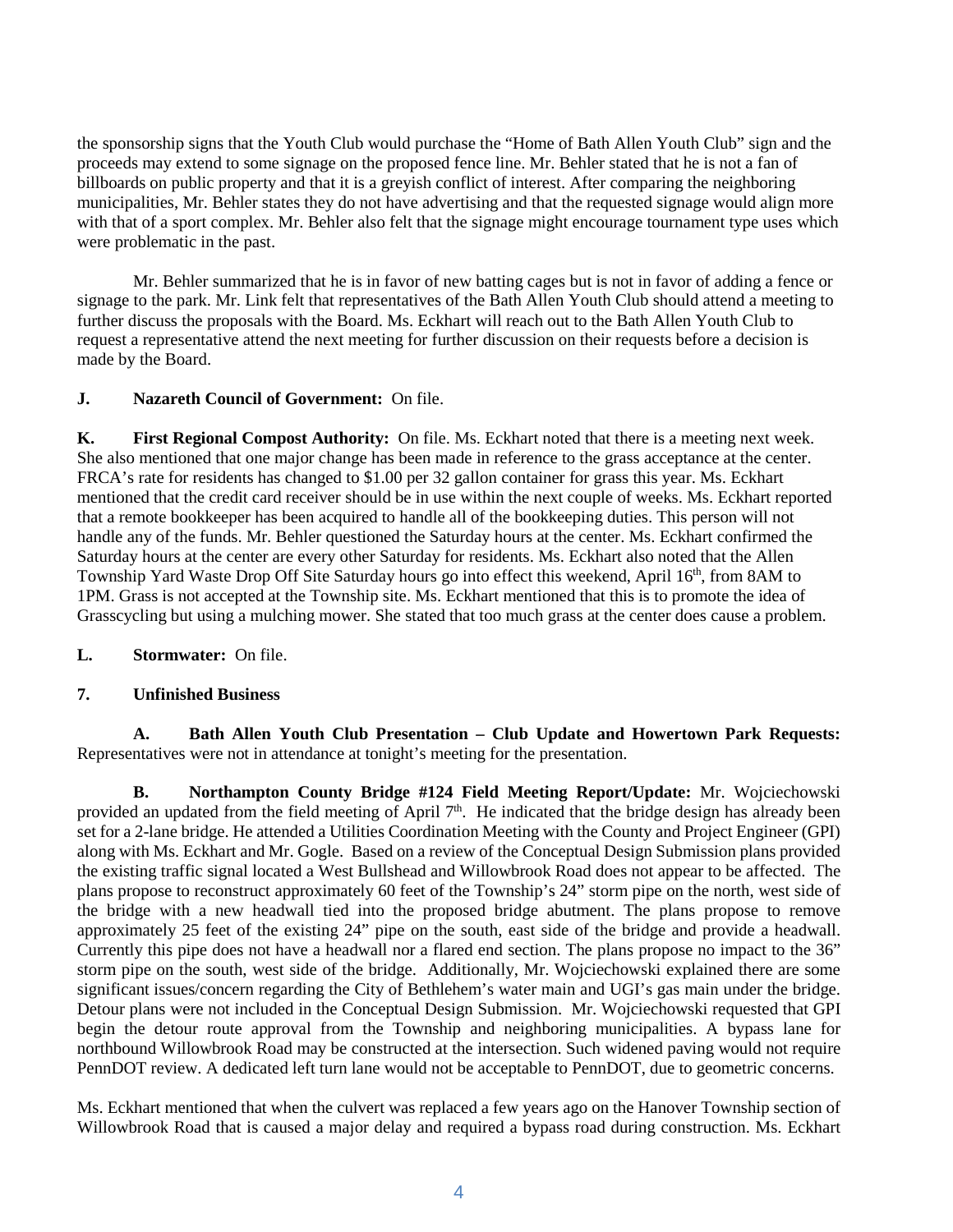the sponsorship signs that the Youth Club would purchase the "Home of Bath Allen Youth Club" sign and the proceeds may extend to some signage on the proposed fence line. Mr. Behler stated that he is not a fan of billboards on public property and that it is a greyish conflict of interest. After comparing the neighboring municipalities, Mr. Behler states they do not have advertising and that the requested signage would align more with that of a sport complex. Mr. Behler also felt that the signage might encourage tournament type uses which were problematic in the past.

Mr. Behler summarized that he is in favor of new batting cages but is not in favor of adding a fence or signage to the park. Mr. Link felt that representatives of the Bath Allen Youth Club should attend a meeting to further discuss the proposals with the Board. Ms. Eckhart will reach out to the Bath Allen Youth Club to request a representative attend the next meeting for further discussion on their requests before a decision is made by the Board.

# **J. Nazareth Council of Government:** On file.

**K. First Regional Compost Authority:** On file. Ms. Eckhart noted that there is a meeting next week. She also mentioned that one major change has been made in reference to the grass acceptance at the center. FRCA's rate for residents has changed to \$1.00 per 32 gallon container for grass this year. Ms. Eckhart mentioned that the credit card receiver should be in use within the next couple of weeks. Ms. Eckhart reported that a remote bookkeeper has been acquired to handle all of the bookkeeping duties. This person will not handle any of the funds. Mr. Behler questioned the Saturday hours at the center. Ms. Eckhart confirmed the Saturday hours at the center are every other Saturday for residents. Ms. Eckhart also noted that the Allen Township Yard Waste Drop Off Site Saturday hours go into effect this weekend, April 16<sup>th</sup>, from 8AM to 1PM. Grass is not accepted at the Township site. Ms. Eckhart mentioned that this is to promote the idea of Grasscycling but using a mulching mower. She stated that too much grass at the center does cause a problem.

# **L. Stormwater:** On file.

# **7. Unfinished Business**

**A. Bath Allen Youth Club Presentation – Club Update and Howertown Park Requests:**  Representatives were not in attendance at tonight's meeting for the presentation.

**B. Northampton County Bridge #124 Field Meeting Report/Update:** Mr. Wojciechowski provided an updated from the field meeting of April 7<sup>th</sup>. He indicated that the bridge design has already been set for a 2-lane bridge. He attended a Utilities Coordination Meeting with the County and Project Engineer (GPI) along with Ms. Eckhart and Mr. Gogle. Based on a review of the Conceptual Design Submission plans provided the existing traffic signal located a West Bullshead and Willowbrook Road does not appear to be affected. The plans propose to reconstruct approximately 60 feet of the Township's 24" storm pipe on the north, west side of the bridge with a new headwall tied into the proposed bridge abutment. The plans propose to remove approximately 25 feet of the existing 24" pipe on the south, east side of the bridge and provide a headwall. Currently this pipe does not have a headwall nor a flared end section. The plans propose no impact to the 36" storm pipe on the south, west side of the bridge. Additionally, Mr. Wojciechowski explained there are some significant issues/concern regarding the City of Bethlehem's water main and UGI's gas main under the bridge. Detour plans were not included in the Conceptual Design Submission. Mr. Wojciechowski requested that GPI begin the detour route approval from the Township and neighboring municipalities. A bypass lane for northbound Willowbrook Road may be constructed at the intersection. Such widened paving would not require PennDOT review. A dedicated left turn lane would not be acceptable to PennDOT, due to geometric concerns.

Ms. Eckhart mentioned that when the culvert was replaced a few years ago on the Hanover Township section of Willowbrook Road that is caused a major delay and required a bypass road during construction. Ms. Eckhart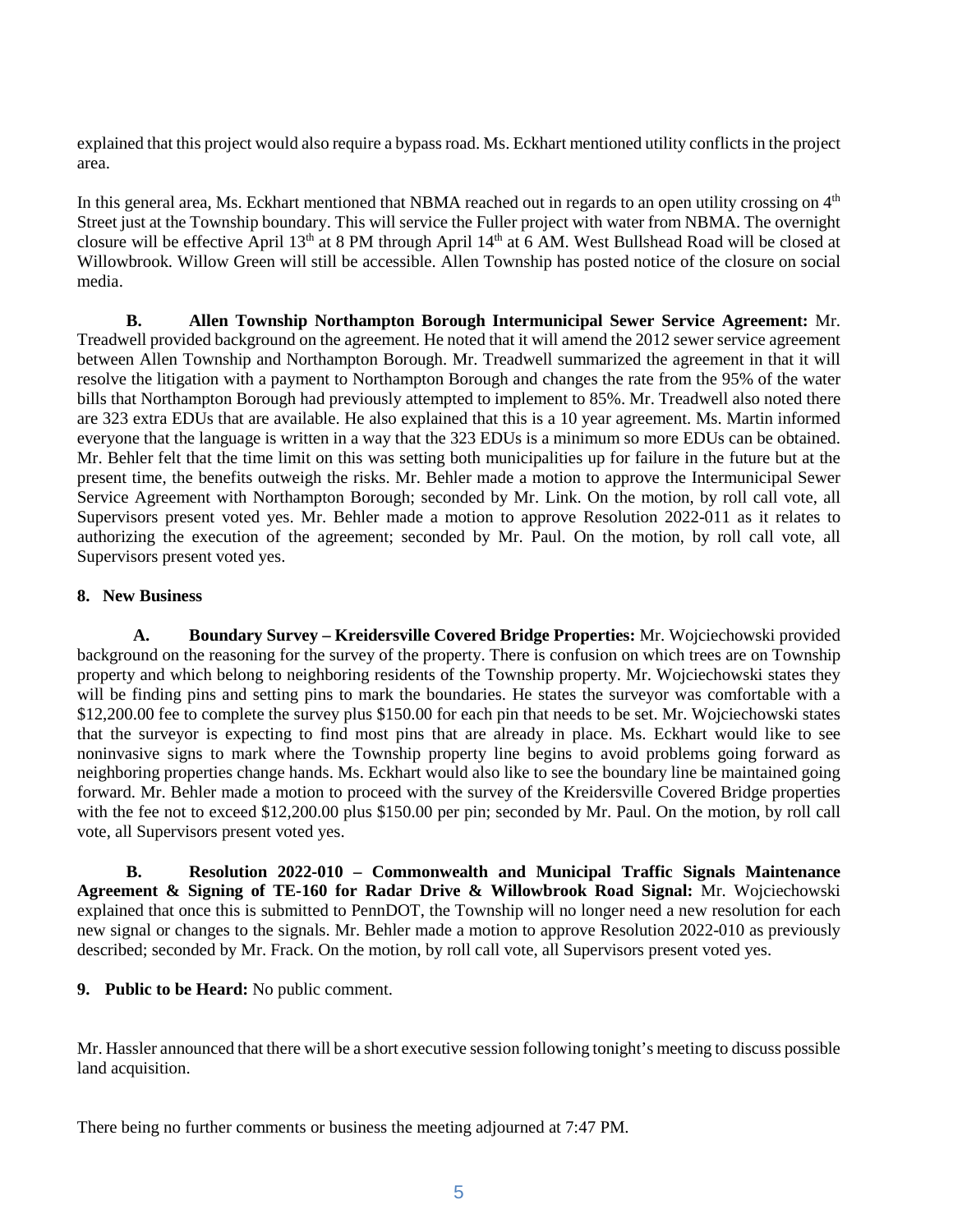explained that this project would also require a bypass road. Ms. Eckhart mentioned utility conflicts in the project area.

In this general area, Ms. Eckhart mentioned that NBMA reached out in regards to an open utility crossing on  $4<sup>th</sup>$ Street just at the Township boundary. This will service the Fuller project with water from NBMA. The overnight closure will be effective April 13th at 8 PM through April 14th at 6 AM. West Bullshead Road will be closed at Willowbrook. Willow Green will still be accessible. Allen Township has posted notice of the closure on social media.

**B. Allen Township Northampton Borough Intermunicipal Sewer Service Agreement:** Mr. Treadwell provided background on the agreement. He noted that it will amend the 2012 sewer service agreement between Allen Township and Northampton Borough. Mr. Treadwell summarized the agreement in that it will resolve the litigation with a payment to Northampton Borough and changes the rate from the 95% of the water bills that Northampton Borough had previously attempted to implement to 85%. Mr. Treadwell also noted there are 323 extra EDUs that are available. He also explained that this is a 10 year agreement. Ms. Martin informed everyone that the language is written in a way that the 323 EDUs is a minimum so more EDUs can be obtained. Mr. Behler felt that the time limit on this was setting both municipalities up for failure in the future but at the present time, the benefits outweigh the risks. Mr. Behler made a motion to approve the Intermunicipal Sewer Service Agreement with Northampton Borough; seconded by Mr. Link. On the motion, by roll call vote, all Supervisors present voted yes. Mr. Behler made a motion to approve Resolution 2022-011 as it relates to authorizing the execution of the agreement; seconded by Mr. Paul. On the motion, by roll call vote, all Supervisors present voted yes.

# **8. New Business**

**A. Boundary Survey – Kreidersville Covered Bridge Properties:** Mr. Wojciechowski provided background on the reasoning for the survey of the property. There is confusion on which trees are on Township property and which belong to neighboring residents of the Township property. Mr. Wojciechowski states they will be finding pins and setting pins to mark the boundaries. He states the surveyor was comfortable with a \$12,200.00 fee to complete the survey plus \$150.00 for each pin that needs to be set. Mr. Wojciechowski states that the surveyor is expecting to find most pins that are already in place. Ms. Eckhart would like to see noninvasive signs to mark where the Township property line begins to avoid problems going forward as neighboring properties change hands. Ms. Eckhart would also like to see the boundary line be maintained going forward. Mr. Behler made a motion to proceed with the survey of the Kreidersville Covered Bridge properties with the fee not to exceed \$12,200.00 plus \$150.00 per pin; seconded by Mr. Paul. On the motion, by roll call vote, all Supervisors present voted yes.

**B. Resolution 2022-010 – Commonwealth and Municipal Traffic Signals Maintenance Agreement & Signing of TE-160 for Radar Drive & Willowbrook Road Signal:** Mr. Wojciechowski explained that once this is submitted to PennDOT, the Township will no longer need a new resolution for each new signal or changes to the signals. Mr. Behler made a motion to approve Resolution 2022-010 as previously described; seconded by Mr. Frack. On the motion, by roll call vote, all Supervisors present voted yes.

# **9. Public to be Heard:** No public comment.

Mr. Hassler announced that there will be a short executive session following tonight's meeting to discuss possible land acquisition.

There being no further comments or business the meeting adjourned at 7:47 PM.